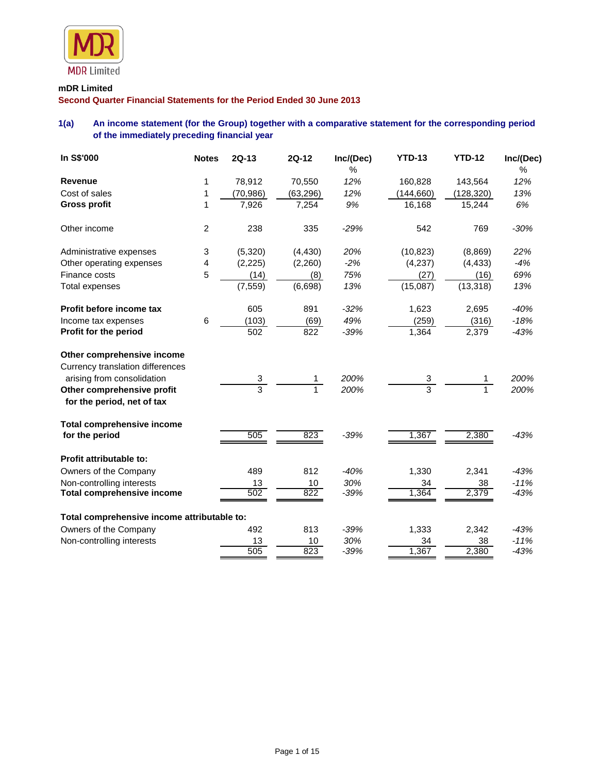

#### **mDR Limited**

**Second Quarter Financial Statements for the Period Ended 30 June 2013**

# **1(a) An income statement (for the Group) together with a comparative statement for the corresponding period of the immediately preceding financial year**

| In S\$'000                                                     | <b>Notes</b>   | $2Q-13$        | <b>2Q-12</b> | Inc/(Dec) | <b>YTD-13</b>  | <b>YTD-12</b> | Inc/(Dec) |
|----------------------------------------------------------------|----------------|----------------|--------------|-----------|----------------|---------------|-----------|
|                                                                |                |                |              | %         |                |               | $\%$      |
| <b>Revenue</b>                                                 | 1              | 78,912         | 70,550       | 12%       | 160,828        | 143,564       | 12%       |
| Cost of sales                                                  | 1              | (70, 986)      | (63, 296)    | 12%       | (144, 660)     | (128, 320)    | 13%       |
| <b>Gross profit</b>                                            | 1              | 7,926          | 7,254        | 9%        | 16,168         | 15,244        | 6%        |
| Other income                                                   | $\overline{c}$ | 238            | 335          | $-29%$    | 542            | 769           | $-30%$    |
| Administrative expenses                                        | 3              | (5,320)        | (4, 430)     | 20%       | (10, 823)      | (8,869)       | 22%       |
| Other operating expenses                                       | 4              | (2,225)        | (2,260)      | $-2%$     | (4,237)        | (4, 433)      | $-4%$     |
| Finance costs                                                  | 5              | (14)           | (8)          | 75%       | (27)           | (16)          | 69%       |
| <b>Total expenses</b>                                          |                | (7, 559)       | (6,698)      | 13%       | (15,087)       | (13, 318)     | 13%       |
| Profit before income tax                                       |                | 605            | 891          | $-32%$    | 1,623          | 2,695         | $-40%$    |
| Income tax expenses                                            | 6              | (103)          | (69)         | 49%       | (259)          | (316)         | $-18%$    |
| Profit for the period                                          |                | 502            | 822          | $-39%$    | 1,364          | 2,379         | $-43%$    |
| Other comprehensive income                                     |                |                |              |           |                |               |           |
| Currency translation differences<br>arising from consolidation |                | 3              |              | 200%      | 3              |               | 200%      |
| Other comprehensive profit                                     |                | $\overline{3}$ |              | 200%      | $\overline{3}$ |               | 200%      |
| for the period, net of tax                                     |                |                |              |           |                |               |           |
| <b>Total comprehensive income</b>                              |                |                |              |           |                |               |           |
| for the period                                                 |                | 505            | 823          | $-39%$    | 1,367          | 2,380         | $-43%$    |
| Profit attributable to:                                        |                |                |              |           |                |               |           |
| Owners of the Company                                          |                | 489            | 812          | $-40%$    | 1,330          | 2,341         | $-43%$    |
| Non-controlling interests                                      |                | 13             | 10           | 30%       | 34             | 38            | $-11%$    |
| <b>Total comprehensive income</b>                              |                | 502            | 822          | $-39%$    | 1,364          | 2,379         | $-43%$    |
| Total comprehensive income attributable to:                    |                |                |              |           |                |               |           |
| Owners of the Company                                          |                | 492            | 813          | $-39%$    | 1,333          | 2,342         | $-43%$    |
| Non-controlling interests                                      |                | 13             | 10           | 30%       | 34             | 38            | $-11%$    |
|                                                                |                | 505            | 823          | $-39%$    | 1,367          | 2,380         | $-43%$    |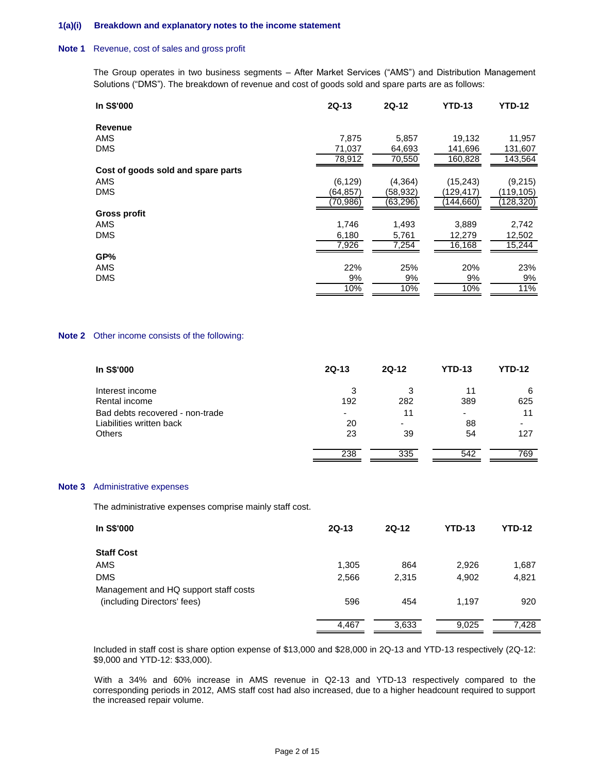#### **1(a)(i) Breakdown and explanatory notes to the income statement**

#### **Note 1** Revenue, cost of sales and gross profit

The Group operates in two business segments – After Market Services ("AMS") and Distribution Management Solutions ("DMS"). The breakdown of revenue and cost of goods sold and spare parts are as follows:

| In S\$'000                         | $2Q-13$   | 2Q-12     | <b>YTD-13</b> | <b>YTD-12</b> |
|------------------------------------|-----------|-----------|---------------|---------------|
| Revenue                            |           |           |               |               |
| <b>AMS</b>                         | 7.875     | 5,857     | 19,132        | 11,957        |
| <b>DMS</b>                         | 71,037    | 64,693    | 141,696       | 131,607       |
|                                    | 78,912    | 70,550    | 160,828       | 143,564       |
| Cost of goods sold and spare parts |           |           |               |               |
| <b>AMS</b>                         | (6, 129)  | (4, 364)  | (15, 243)     | (9,215)       |
| <b>DMS</b>                         | (64,857)  | (58,932)  | (129,417      | (119,105)     |
|                                    | (70, 986) | (63, 296) | (144, 660)    | (128, 320)    |
| <b>Gross profit</b>                |           |           |               |               |
| AMS                                | 1,746     | 1,493     | 3,889         | 2,742         |
| <b>DMS</b>                         | 6,180     | 5,761     | 12,279        | 12,502        |
|                                    | 7,926     | 7,254     | 16,168        | 15,244        |
| GP%                                |           |           |               |               |
| <b>AMS</b>                         | 22%       | 25%       | 20%           | 23%           |
| <b>DMS</b>                         | 9%        | 9%        | 9%            | 9%            |
|                                    | 10%       | 10%       | 10%           | 11%           |

#### **Note 2** Other income consists of the following:

| In S\$'000                      | $2Q-13$                  | $2Q-12$ | <b>YTD-13</b> | <b>YTD-12</b> |
|---------------------------------|--------------------------|---------|---------------|---------------|
| Interest income                 | 3                        | 3       | 11            | 6             |
| Rental income                   | 192                      | 282     | 389           | 625           |
| Bad debts recovered - non-trade | $\overline{\phantom{0}}$ | 11      | ٠             | 11            |
| Liabilities written back        | 20                       |         | 88            |               |
| <b>Others</b>                   | 23                       | 39      | 54            | 127           |
|                                 | 238                      | 335     | 542           | 769           |

#### **Note 3** Administrative expenses

The administrative expenses comprise mainly staff cost.

| In S\$'000                            | $2Q-13$ | $2Q-12$ | <b>YTD-13</b> | <b>YTD-12</b> |
|---------------------------------------|---------|---------|---------------|---------------|
| <b>Staff Cost</b>                     |         |         |               |               |
| AMS                                   | 1,305   | 864     | 2,926         | 1,687         |
| <b>DMS</b>                            | 2,566   | 2,315   | 4,902         | 4,821         |
| Management and HQ support staff costs |         |         |               |               |
| (including Directors' fees)           | 596     | 454     | 1.197         | 920           |
|                                       | 4,467   | 3,633   | 9,025         | 7,428         |

Included in staff cost is share option expense of \$13,000 and \$28,000 in 2Q-13 and YTD-13 respectively (2Q-12: \$9,000 and YTD-12: \$33,000).

 With a 34% and 60% increase in AMS revenue in Q2-13 and YTD-13 respectively compared to the corresponding periods in 2012, AMS staff cost had also increased, due to a higher headcount required to support the increased repair volume.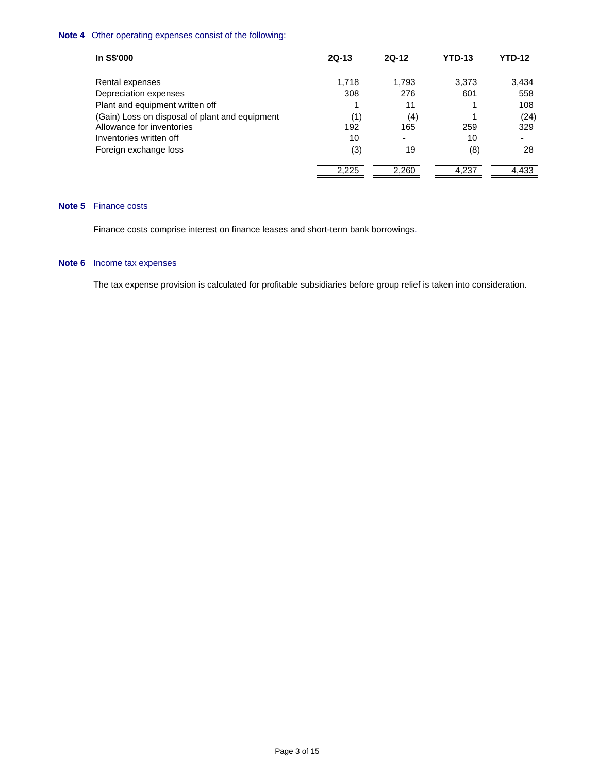## **Note 4** Other operating expenses consist of the following:

| In S\$'000                                     | $2Q-13$ | $2Q-12$ | YTD-13 | YTD-12 |
|------------------------------------------------|---------|---------|--------|--------|
| Rental expenses                                | 1,718   | 1,793   | 3,373  | 3,434  |
| Depreciation expenses                          | 308     | 276     | 601    | 558    |
| Plant and equipment written off                |         | 11      |        | 108    |
| (Gain) Loss on disposal of plant and equipment | (1)     | (4)     |        | (24)   |
| Allowance for inventories                      | 192     | 165     | 259    | 329    |
| Inventories written off                        | 10      | ٠       | 10     | -      |
| Foreign exchange loss                          | (3)     | 19      | (8)    | 28     |
|                                                | 2,225   | 2,260   | 4,237  | 4,433  |

## **Note 5** Finance costs

Finance costs comprise interest on finance leases and short-term bank borrowings.

## **Note 6** Income tax expenses

The tax expense provision is calculated for profitable subsidiaries before group relief is taken into consideration.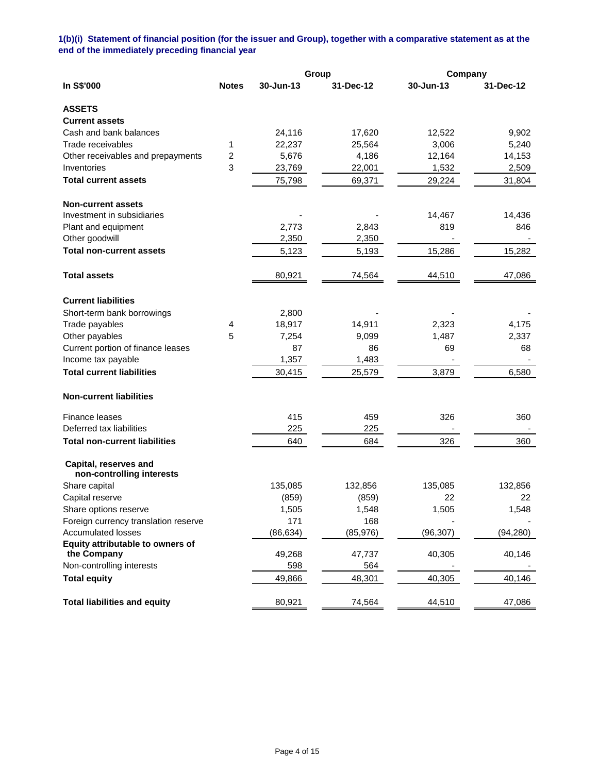# **1(b)(i) Statement of financial position (for the issuer and Group), together with a comparative statement as at the end of the immediately preceding financial year**

|                                                    |              |           | Group     | Company   |           |
|----------------------------------------------------|--------------|-----------|-----------|-----------|-----------|
| In S\$'000                                         | <b>Notes</b> | 30-Jun-13 | 31-Dec-12 | 30-Jun-13 | 31-Dec-12 |
| <b>ASSETS</b>                                      |              |           |           |           |           |
| <b>Current assets</b>                              |              |           |           |           |           |
| Cash and bank balances                             |              | 24,116    | 17,620    | 12,522    | 9,902     |
| Trade receivables                                  | 1            | 22,237    | 25,564    | 3,006     | 5,240     |
| Other receivables and prepayments                  | 2            | 5,676     | 4,186     | 12,164    | 14,153    |
| Inventories                                        | 3            | 23,769    | 22,001    | 1,532     | 2,509     |
| <b>Total current assets</b>                        |              | 75,798    | 69,371    | 29,224    | 31,804    |
| <b>Non-current assets</b>                          |              |           |           |           |           |
| Investment in subsidiaries                         |              |           |           | 14,467    | 14,436    |
| Plant and equipment                                |              | 2,773     | 2,843     | 819       | 846       |
| Other goodwill                                     |              | 2,350     | 2,350     |           |           |
| <b>Total non-current assets</b>                    |              | 5,123     | 5,193     | 15,286    | 15,282    |
| <b>Total assets</b>                                |              | 80,921    | 74,564    | 44,510    | 47,086    |
| <b>Current liabilities</b>                         |              |           |           |           |           |
| Short-term bank borrowings                         |              | 2,800     |           |           |           |
| Trade payables                                     | 4            | 18,917    | 14,911    | 2,323     | 4,175     |
| Other payables                                     | 5            | 7,254     | 9,099     | 1,487     | 2,337     |
| Current portion of finance leases                  |              | 87        | 86        | 69        | 68        |
| Income tax payable                                 |              | 1,357     | 1,483     |           |           |
| <b>Total current liabilities</b>                   |              | 30,415    | 25,579    | 3,879     | 6,580     |
| <b>Non-current liabilities</b>                     |              |           |           |           |           |
| Finance leases                                     |              | 415       | 459       | 326       | 360       |
| Deferred tax liabilities                           |              | 225       | 225       |           |           |
| <b>Total non-current liabilities</b>               |              | 640       | 684       | 326       | 360       |
| Capital, reserves and<br>non-controlling interests |              |           |           |           |           |
| Share capital                                      |              | 135,085   | 132,856   | 135,085   | 132,856   |
| Capital reserve                                    |              | (859)     | (859)     | 22        | 22        |
| Share options reserve                              |              | 1,505     | 1,548     | 1,505     | 1,548     |
| Foreign currency translation reserve               |              | 171       | 168       |           |           |
| <b>Accumulated losses</b>                          |              | (86, 634) | (85, 976) | (96, 307) | (94, 280) |
| Equity attributable to owners of                   |              |           |           |           |           |
| the Company                                        |              | 49,268    | 47,737    | 40,305    | 40,146    |
| Non-controlling interests                          |              | 598       | 564       |           |           |
| <b>Total equity</b>                                |              | 49,866    | 48,301    | 40,305    | 40,146    |
| <b>Total liabilities and equity</b>                |              | 80,921    | 74,564    | 44,510    | 47,086    |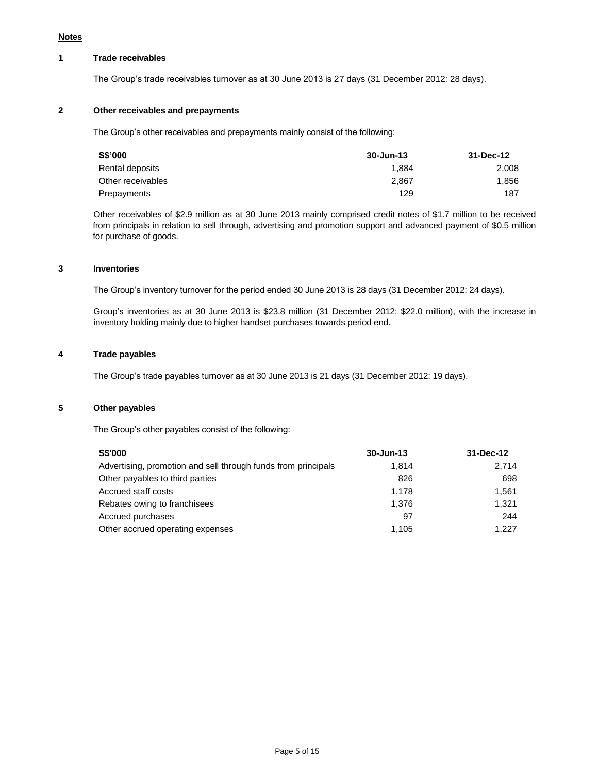## **1 Trade receivables**

The Group's trade receivables turnover as at 30 June 2013 is 27 days (31 December 2012: 28 days).

#### **2 Other receivables and prepayments**

The Group's other receivables and prepayments mainly consist of the following:

| S\$'000           | 30-Jun-13 | 31-Dec-12 |
|-------------------|-----------|-----------|
| Rental deposits   | 1.884     | 2.008     |
| Other receivables | 2.867     | 1.856     |
| Prepayments       | 129       | 187       |

Other receivables of \$2.9 million as at 30 June 2013 mainly comprised credit notes of \$1.7 million to be received from principals in relation to sell through, advertising and promotion support and advanced payment of \$0.5 million for purchase of goods.

## **3 Inventories**

The Group's inventory turnover for the period ended 30 June 2013 is 28 days (31 December 2012: 24 days).

Group's inventories as at 30 June 2013 is \$23.8 million (31 December 2012: \$22.0 million), with the increase in inventory holding mainly due to higher handset purchases towards period end.

# **4 Trade payables**

The Group's trade payables turnover as at 30 June 2013 is 21 days (31 December 2012: 19 days).

# **5 Other payables**

The Group's other payables consist of the following:

| <b>S\$'000</b>                                                | 30-Jun-13 | 31-Dec-12 |
|---------------------------------------------------------------|-----------|-----------|
| Advertising, promotion and sell through funds from principals | 1.814     | 2.714     |
| Other payables to third parties                               | 826       | 698       |
| Accrued staff costs                                           | 1.178     | 1.561     |
| Rebates owing to franchisees                                  | 1.376     | 1.321     |
| Accrued purchases                                             | 97        | 244       |
| Other accrued operating expenses                              | 1,105     | 1.227     |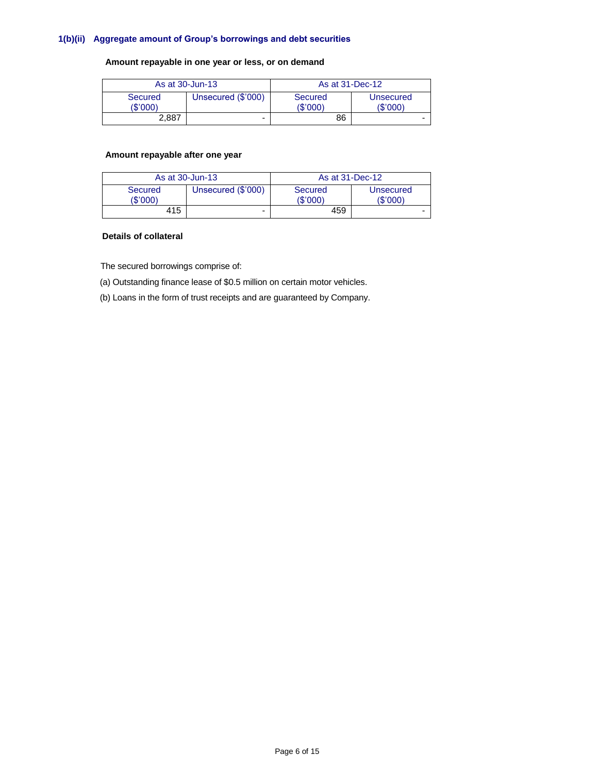## **1(b)(ii) Aggregate amount of Group's borrowings and debt securities**

## **Amount repayable in one year or less, or on demand**

| As at 30-Jun-13            |                    | As at 31-Dec-12     |                       |  |
|----------------------------|--------------------|---------------------|-----------------------|--|
| <b>Secured</b><br>(\$'000) | Unsecured (\$'000) | Secured<br>(\$'000) | Unsecured<br>(\$'000) |  |
| 2.887                      | -                  | 86                  |                       |  |

# **Amount repayable after one year**

| As at 30-Jun-13            |                    | As at 31-Dec-12     |                       |  |
|----------------------------|--------------------|---------------------|-----------------------|--|
| <b>Secured</b><br>(\$'000) | Unsecured (\$'000) | Secured<br>(\$'000) | Unsecured<br>(\$'000) |  |
| 415                        | -                  | 459                 |                       |  |

## **Details of collateral**

The secured borrowings comprise of:

(a) Outstanding finance lease of \$0.5 million on certain motor vehicles.

(b) Loans in the form of trust receipts and are guaranteed by Company.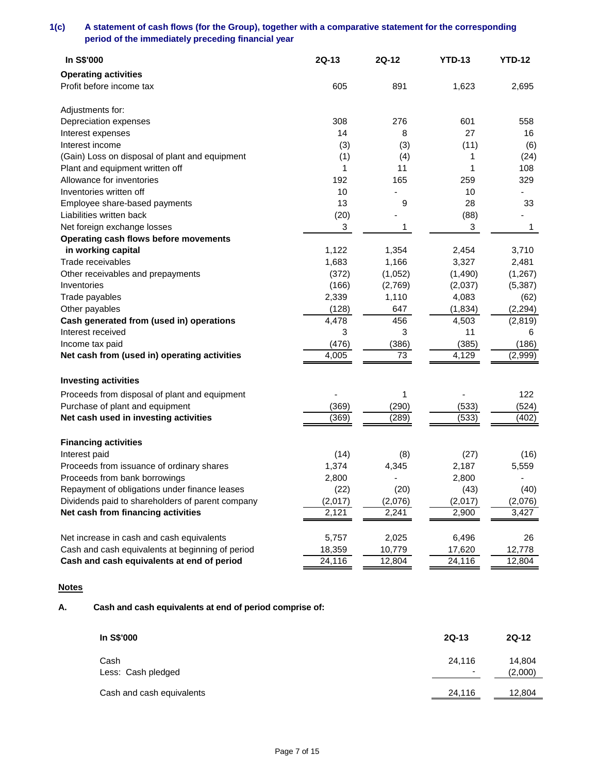# **1(c) A statement of cash flows (for the Group), together with a comparative statement for the corresponding period of the immediately preceding financial year**

| In S\$'000                                       | $2Q-13$ | 2Q-12   | <b>YTD-13</b> | <b>YTD-12</b>  |
|--------------------------------------------------|---------|---------|---------------|----------------|
| <b>Operating activities</b>                      |         |         |               |                |
| Profit before income tax                         | 605     | 891     | 1,623         | 2,695          |
| Adjustments for:                                 |         |         |               |                |
| Depreciation expenses                            | 308     | 276     | 601           | 558            |
| Interest expenses                                | 14      | 8       | 27            | 16             |
| Interest income                                  | (3)     | (3)     | (11)          | (6)            |
| (Gain) Loss on disposal of plant and equipment   | (1)     | (4)     | 1             | (24)           |
| Plant and equipment written off                  | 1       | 11      | 1             | 108            |
| Allowance for inventories                        | 192     | 165     | 259           | 329            |
| Inventories written off                          | 10      |         | 10            | $\blacksquare$ |
| Employee share-based payments                    | 13      | 9       | 28            | 33             |
| Liabilities written back                         | (20)    |         | (88)          |                |
| Net foreign exchange losses                      | 3       | 1       | 3             | 1              |
| Operating cash flows before movements            |         |         |               |                |
| in working capital                               | 1,122   | 1,354   | 2,454         | 3,710          |
| Trade receivables                                | 1,683   | 1,166   | 3,327         | 2,481          |
| Other receivables and prepayments                | (372)   | (1,052) | (1,490)       | (1, 267)       |
| Inventories                                      | (166)   | (2,769) | (2,037)       | (5, 387)       |
| Trade payables                                   | 2,339   | 1,110   | 4,083         | (62)           |
| Other payables                                   | (128)   | 647     | (1, 834)      | (2, 294)       |
| Cash generated from (used in) operations         | 4,478   | 456     | 4,503         | (2,819)        |
| Interest received                                | 3       | 3       | 11            | 6              |
| Income tax paid                                  | (476)   | (386)   | (385)         | (186)          |
| Net cash from (used in) operating activities     | 4,005   | 73      | 4,129         | (2,999)        |
| <b>Investing activities</b>                      |         |         |               |                |
| Proceeds from disposal of plant and equipment    |         | 1       |               | 122            |
| Purchase of plant and equipment                  | (369)   | (290)   | (533)         | (524)          |
| Net cash used in investing activities            | (369)   | (289)   | (533)         | (402)          |
| <b>Financing activities</b>                      |         |         |               |                |
| Interest paid                                    | (14)    | (8)     | (27)          | (16)           |
| Proceeds from issuance of ordinary shares        | 1,374   | 4,345   | 2,187         | 5,559          |
| Proceeds from bank borrowings                    | 2,800   |         | 2,800         |                |
| Repayment of obligations under finance leases    | (22)    | (20)    | (43)          | (40)           |
| Dividends paid to shareholders of parent company | (2,017) | (2,076) | (2,017)       | (2,076)        |
| Net cash from financing activities               | 2,121   | 2,241   | 2,900         | 3,427          |
| Net increase in cash and cash equivalents        | 5,757   | 2,025   | 6,496         | 26             |
| Cash and cash equivalents at beginning of period | 18,359  | 10,779  | 17,620        | 12,778         |
| Cash and cash equivalents at end of period       | 24,116  | 12,804  | 24,116        | 12,804         |

# **Notes**

# **A. Cash and cash equivalents at end of period comprise of:**

| In S\$'000                 | $2Q-13$                  | $2Q-12$           |
|----------------------------|--------------------------|-------------------|
| Cash<br>Less: Cash pledged | 24,116<br>$\blacksquare$ | 14,804<br>(2,000) |
| Cash and cash equivalents  | 24,116                   | 12,804            |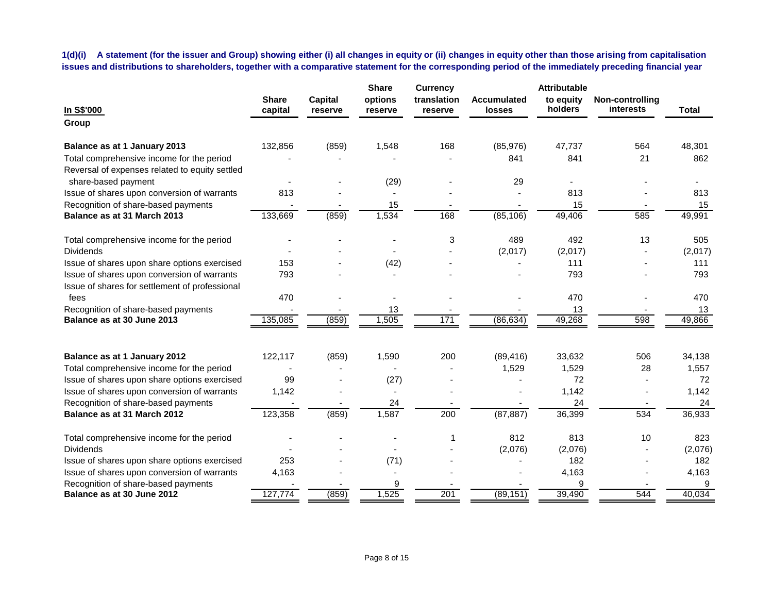**1(d)(i) A statement (for the issuer and Group) showing either (i) all changes in equity or (ii) changes in equity other than those arising from capitalisation issues and distributions to shareholders, together with a comparative statement for the corresponding period of the immediately preceding financial year**

| In S\$'000                                                                                    | <b>Share</b><br>capital | <b>Capital</b><br>reserve | <b>Share</b><br>options<br>reserve | <b>Currency</b><br>translation<br>reserve | <b>Accumulated</b><br><b>losses</b> | <b>Attributable</b><br>to equity<br>holders | Non-controlling<br>interests | <b>Total</b> |
|-----------------------------------------------------------------------------------------------|-------------------------|---------------------------|------------------------------------|-------------------------------------------|-------------------------------------|---------------------------------------------|------------------------------|--------------|
| Group                                                                                         |                         |                           |                                    |                                           |                                     |                                             |                              |              |
| Balance as at 1 January 2013                                                                  | 132,856                 | (859)                     | 1,548                              | 168                                       | (85, 976)                           | 47.737                                      | 564                          | 48,301       |
| Total comprehensive income for the period<br>Reversal of expenses related to equity settled   |                         |                           |                                    |                                           | 841                                 | 841                                         | 21                           | 862          |
| share-based payment                                                                           |                         |                           | (29)                               |                                           | 29                                  |                                             |                              |              |
| Issue of shares upon conversion of warrants                                                   | 813                     |                           |                                    |                                           |                                     | 813                                         |                              | 813          |
| Recognition of share-based payments                                                           |                         |                           | 15                                 |                                           |                                     | 15                                          |                              | 15           |
| Balance as at 31 March 2013                                                                   | 133,669                 | (859)                     | 1,534                              | 168                                       | (85, 106)                           | 49,406                                      | 585                          | 49,991       |
| Total comprehensive income for the period                                                     |                         |                           |                                    | 3                                         | 489                                 | 492                                         | 13                           | 505          |
| <b>Dividends</b>                                                                              |                         |                           |                                    |                                           | (2,017)                             | (2,017)                                     |                              | (2,017)      |
| Issue of shares upon share options exercised                                                  | 153                     |                           | (42)                               |                                           |                                     | 111                                         |                              | 111          |
| Issue of shares upon conversion of warrants<br>Issue of shares for settlement of professional | 793                     |                           |                                    |                                           |                                     | 793                                         |                              | 793          |
| fees                                                                                          | 470                     |                           |                                    |                                           |                                     | 470                                         |                              | 470          |
| Recognition of share-based payments                                                           |                         |                           | 13                                 |                                           |                                     | 13                                          |                              | 13           |
| Balance as at 30 June 2013                                                                    | 135,085                 | (859)                     | 1,505                              | 171                                       | (86, 634)                           | 49,268                                      | 598                          | 49,866       |
| Balance as at 1 January 2012                                                                  | 122,117                 | (859)                     | 1,590                              | 200                                       | (89, 416)                           | 33,632                                      | 506                          | 34,138       |
| Total comprehensive income for the period                                                     |                         |                           |                                    |                                           | 1,529                               | 1,529                                       | 28                           | 1,557        |
| Issue of shares upon share options exercised                                                  | 99                      |                           | (27)                               |                                           |                                     | 72                                          |                              | 72           |
| Issue of shares upon conversion of warrants                                                   | 1,142                   |                           |                                    |                                           |                                     | 1,142                                       |                              | 1,142        |
| Recognition of share-based payments                                                           |                         |                           | 24                                 |                                           |                                     | 24                                          |                              | 24           |
| Balance as at 31 March 2012                                                                   | 123,358                 | (859)                     | 1,587                              | $\overline{200}$                          | (87, 887)                           | 36,399                                      | 534                          | 36,933       |
| Total comprehensive income for the period                                                     |                         |                           |                                    |                                           | 812                                 | 813                                         | 10                           | 823          |
| <b>Dividends</b>                                                                              |                         |                           |                                    |                                           | (2,076)                             | (2,076)                                     |                              | (2,076)      |
| Issue of shares upon share options exercised                                                  | 253                     |                           | (71)                               |                                           |                                     | 182                                         |                              | 182          |
| Issue of shares upon conversion of warrants                                                   | 4,163                   |                           | $\overline{\phantom{a}}$           |                                           |                                     | 4,163                                       |                              | 4,163        |
| Recognition of share-based payments                                                           |                         |                           | 9                                  |                                           |                                     |                                             |                              | 9            |
| Balance as at 30 June 2012                                                                    | 127,774                 | (859)                     | 1,525                              | 201                                       | (89, 151)                           | 39,490                                      | 544                          | 40,034       |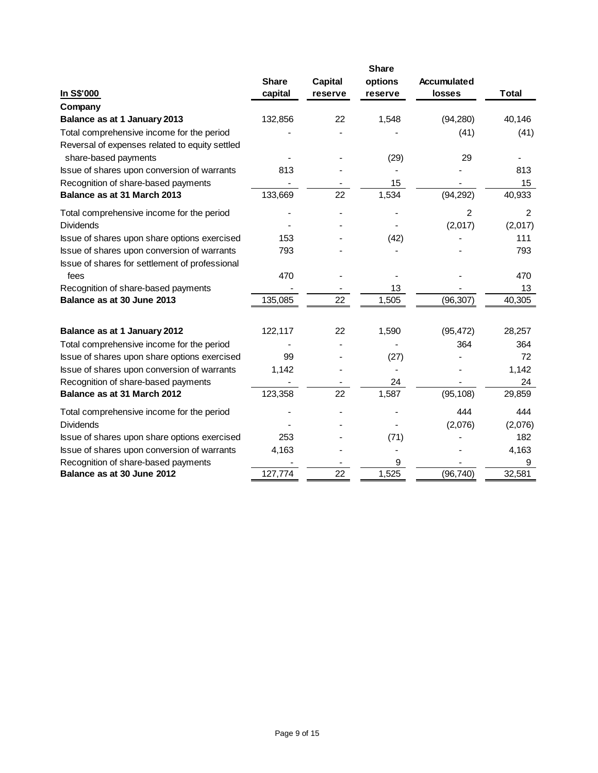|                                                                                               | <b>Share</b> |                |         |               |              |
|-----------------------------------------------------------------------------------------------|--------------|----------------|---------|---------------|--------------|
|                                                                                               | <b>Share</b> | <b>Capital</b> | options | Accumulated   |              |
| In S\$'000                                                                                    | capital      | reserve        | reserve | <b>losses</b> | <b>Total</b> |
| Company                                                                                       |              |                |         |               |              |
| Balance as at 1 January 2013                                                                  | 132,856      | 22             | 1,548   | (94, 280)     | 40,146       |
| Total comprehensive income for the period<br>Reversal of expenses related to equity settled   |              |                |         | (41)          | (41)         |
| share-based payments                                                                          |              |                | (29)    | 29            |              |
| Issue of shares upon conversion of warrants                                                   | 813          |                |         |               | 813          |
| Recognition of share-based payments                                                           |              |                | 15      |               | 15           |
| Balance as at 31 March 2013                                                                   | 133,669      | 22             | 1,534   | (94, 292)     | 40,933       |
| Total comprehensive income for the period                                                     |              |                |         | 2             | 2            |
| <b>Dividends</b>                                                                              |              |                |         | (2,017)       | (2,017)      |
| Issue of shares upon share options exercised                                                  | 153          |                | (42)    |               | 111          |
| Issue of shares upon conversion of warrants<br>Issue of shares for settlement of professional | 793          |                |         |               | 793          |
| fees                                                                                          | 470          |                |         |               | 470          |
| Recognition of share-based payments                                                           |              |                | 13      |               | 13           |
| Balance as at 30 June 2013                                                                    | 135,085      | 22             | 1,505   | (96, 307)     | 40,305       |
| Balance as at 1 January 2012                                                                  | 122,117      | 22             | 1,590   | (95, 472)     | 28,257       |
| Total comprehensive income for the period                                                     |              |                |         | 364           | 364          |
| Issue of shares upon share options exercised                                                  | 99           |                | (27)    |               | 72           |
| Issue of shares upon conversion of warrants                                                   | 1,142        |                |         |               | 1,142        |
| Recognition of share-based payments                                                           |              |                | 24      |               | 24           |
| Balance as at 31 March 2012                                                                   | 123,358      | 22             | 1,587   | (95, 108)     | 29,859       |
| Total comprehensive income for the period                                                     |              |                |         | 444           | 444          |
| <b>Dividends</b>                                                                              |              |                |         | (2,076)       | (2,076)      |
| Issue of shares upon share options exercised                                                  | 253          |                | (71)    |               | 182          |
| Issue of shares upon conversion of warrants                                                   | 4,163        |                |         |               | 4,163        |
| Recognition of share-based payments                                                           |              |                | 9       |               | 9            |
| Balance as at 30 June 2012                                                                    | 127,774      | 22             | 1,525   | (96, 740)     | 32,581       |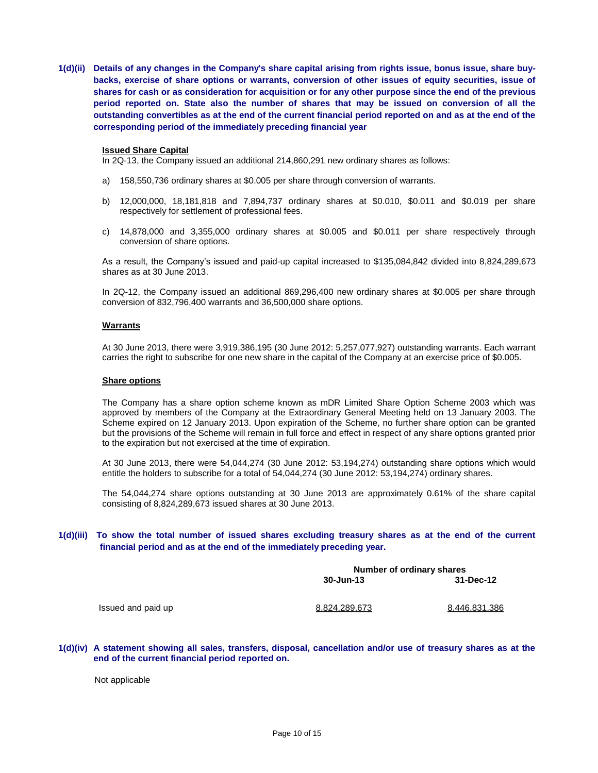**1(d)(ii) Details of any changes in the Company's share capital arising from rights issue, bonus issue, share buybacks, exercise of share options or warrants, conversion of other issues of equity securities, issue of shares for cash or as consideration for acquisition or for any other purpose since the end of the previous period reported on. State also the number of shares that may be issued on conversion of all the outstanding convertibles as at the end of the current financial period reported on and as at the end of the corresponding period of the immediately preceding financial year**

#### **Issued Share Capital**

In 2Q-13, the Company issued an additional 214,860,291 new ordinary shares as follows:

- a) 158,550,736 ordinary shares at \$0.005 per share through conversion of warrants.
- b) 12,000,000, 18,181,818 and 7,894,737 ordinary shares at \$0.010, \$0.011 and \$0.019 per share respectively for settlement of professional fees.
- c) 14,878,000 and 3,355,000 ordinary shares at \$0.005 and \$0.011 per share respectively through conversion of share options.

As a result, the Company's issued and paid-up capital increased to \$135,084,842 divided into 8,824,289,673 shares as at 30 June 2013.

In 2Q-12, the Company issued an additional 869,296,400 new ordinary shares at \$0.005 per share through conversion of 832,796,400 warrants and 36,500,000 share options.

#### **Warrants**

At 30 June 2013, there were 3,919,386,195 (30 June 2012: 5,257,077,927) outstanding warrants. Each warrant carries the right to subscribe for one new share in the capital of the Company at an exercise price of \$0.005.

#### **Share options**

The Company has a share option scheme known as mDR Limited Share Option Scheme 2003 which was approved by members of the Company at the Extraordinary General Meeting held on 13 January 2003. The Scheme expired on 12 January 2013. Upon expiration of the Scheme, no further share option can be granted but the provisions of the Scheme will remain in full force and effect in respect of any share options granted prior to the expiration but not exercised at the time of expiration.

At 30 June 2013, there were 54,044,274 (30 June 2012: 53,194,274) outstanding share options which would entitle the holders to subscribe for a total of 54,044,274 (30 June 2012: 53,194,274) ordinary shares.

The 54,044,274 share options outstanding at 30 June 2013 are approximately 0.61% of the share capital consisting of 8,824,289,673 issued shares at 30 June 2013.

#### **1(d)(iii) To show the total number of issued shares excluding treasury shares as at the end of the current financial period and as at the end of the immediately preceding year.**

|               | Number of ordinary shares |  |  |
|---------------|---------------------------|--|--|
| 30-Jun-13     | 31-Dec-12                 |  |  |
|               |                           |  |  |
| 8.824.289.673 | 8.446.831.386             |  |  |

#### **1(d)(iv) A statement showing all sales, transfers, disposal, cancellation and/or use of treasury shares as at the end of the current financial period reported on.**

Not applicable

Issued and paid up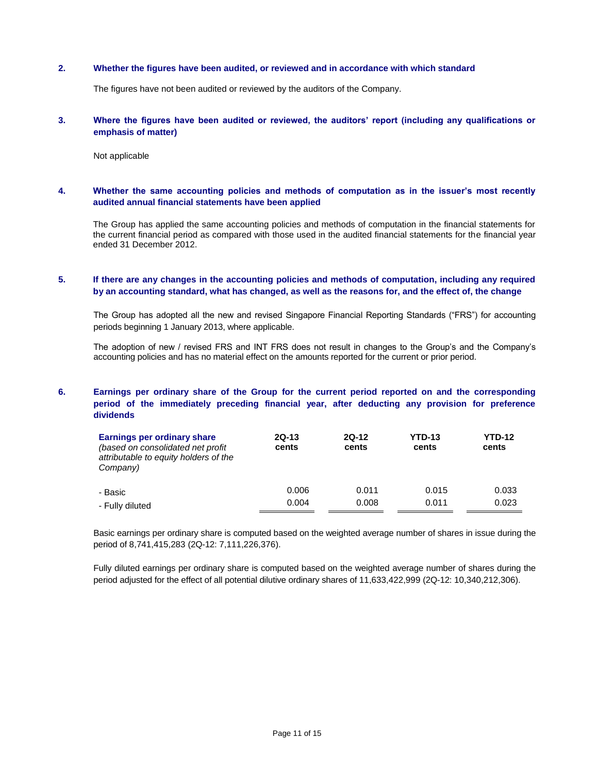#### **2. Whether the figures have been audited, or reviewed and in accordance with which standard**

The figures have not been audited or reviewed by the auditors of the Company.

#### **3. Where the figures have been audited or reviewed, the auditors' report (including any qualifications or emphasis of matter)**

Not applicable

#### **4. Whether the same accounting policies and methods of computation as in the issuer's most recently audited annual financial statements have been applied**

The Group has applied the same accounting policies and methods of computation in the financial statements for the current financial period as compared with those used in the audited financial statements for the financial year ended 31 December 2012.

## **5. If there are any changes in the accounting policies and methods of computation, including any required by an accounting standard, what has changed, as well as the reasons for, and the effect of, the change**

The Group has adopted all the new and revised Singapore Financial Reporting Standards ("FRS") for accounting periods beginning 1 January 2013, where applicable.

The adoption of new / revised FRS and INT FRS does not result in changes to the Group's and the Company's accounting policies and has no material effect on the amounts reported for the current or prior period.

## **6. Earnings per ordinary share of the Group for the current period reported on and the corresponding period of the immediately preceding financial year, after deducting any provision for preference dividends**

| Earnings per ordinary share<br>(based on consolidated net profit)<br>attributable to equity holders of the<br>Company) | $2Q-13$<br>cents | $2Q-12$<br>cents | <b>YTD-13</b><br>cents | <b>YTD-12</b><br>cents |
|------------------------------------------------------------------------------------------------------------------------|------------------|------------------|------------------------|------------------------|
| - Basic                                                                                                                | 0.006            | 0.011            | 0.015                  | 0.033                  |
| - Fully diluted                                                                                                        | 0.004            | 0.008            | 0.011                  | 0.023                  |

Basic earnings per ordinary share is computed based on the weighted average number of shares in issue during the period of 8,741,415,283 (2Q-12: 7,111,226,376).

Fully diluted earnings per ordinary share is computed based on the weighted average number of shares during the period adjusted for the effect of all potential dilutive ordinary shares of 11,633,422,999 (2Q-12: 10,340,212,306).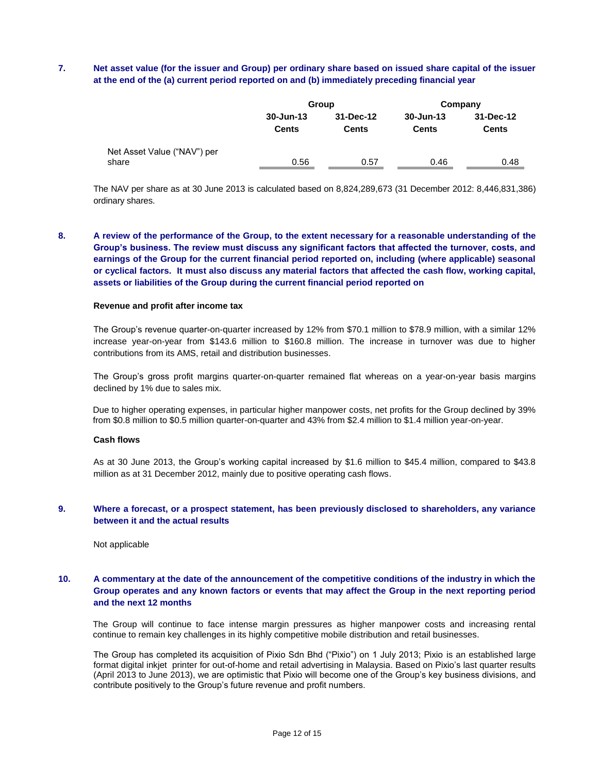## **7. Net asset value (for the issuer and Group) per ordinary share based on issued share capital of the issuer at the end of the (a) current period reported on and (b) immediately preceding financial year**

|                                      |                           | Group                     | Company                       |                           |  |
|--------------------------------------|---------------------------|---------------------------|-------------------------------|---------------------------|--|
|                                      | 30-Jun-13<br><b>Cents</b> | 31-Dec-12<br><b>Cents</b> | $30 - Jun-13$<br><b>Cents</b> | 31-Dec-12<br><b>Cents</b> |  |
| Net Asset Value ("NAV") per<br>share | 0.56                      | 0.57                      | 0.46                          | 0.48                      |  |

The NAV per share as at 30 June 2013 is calculated based on 8,824,289,673 (31 December 2012: 8,446,831,386) ordinary shares.

**8. A review of the performance of the Group, to the extent necessary for a reasonable understanding of the Group's business. The review must discuss any significant factors that affected the turnover, costs, and earnings of the Group for the current financial period reported on, including (where applicable) seasonal or cyclical factors. It must also discuss any material factors that affected the cash flow, working capital, assets or liabilities of the Group during the current financial period reported on**

#### **Revenue and profit after income tax**

The Group's revenue quarter-on-quarter increased by 12% from \$70.1 million to \$78.9 million, with a similar 12% increase year-on-year from \$143.6 million to \$160.8 million. The increase in turnover was due to higher contributions from its AMS, retail and distribution businesses.

The Group's gross profit margins quarter-on-quarter remained flat whereas on a year-on-year basis margins declined by 1% due to sales mix.

Due to higher operating expenses, in particular higher manpower costs, net profits for the Group declined by 39% from \$0.8 million to \$0.5 million quarter-on-quarter and 43% from \$2.4 million to \$1.4 million year-on-year.

#### **Cash flows**

As at 30 June 2013, the Group's working capital increased by \$1.6 million to \$45.4 million, compared to \$43.8 million as at 31 December 2012, mainly due to positive operating cash flows.

#### **9. Where a forecast, or a prospect statement, has been previously disclosed to shareholders, any variance between it and the actual results**

Not applicable

## **10. A commentary at the date of the announcement of the competitive conditions of the industry in which the Group operates and any known factors or events that may affect the Group in the next reporting period and the next 12 months**

The Group will continue to face intense margin pressures as higher manpower costs and increasing rental continue to remain key challenges in its highly competitive mobile distribution and retail businesses.

The Group has completed its acquisition of Pixio Sdn Bhd ("Pixio") on 1 July 2013; Pixio is an established large format digital inkjet printer for out-of-home and retail advertising in Malaysia. Based on Pixio's last quarter results (April 2013 to June 2013), we are optimistic that Pixio will become one of the Group's key business divisions, and contribute positively to the Group's future revenue and profit numbers.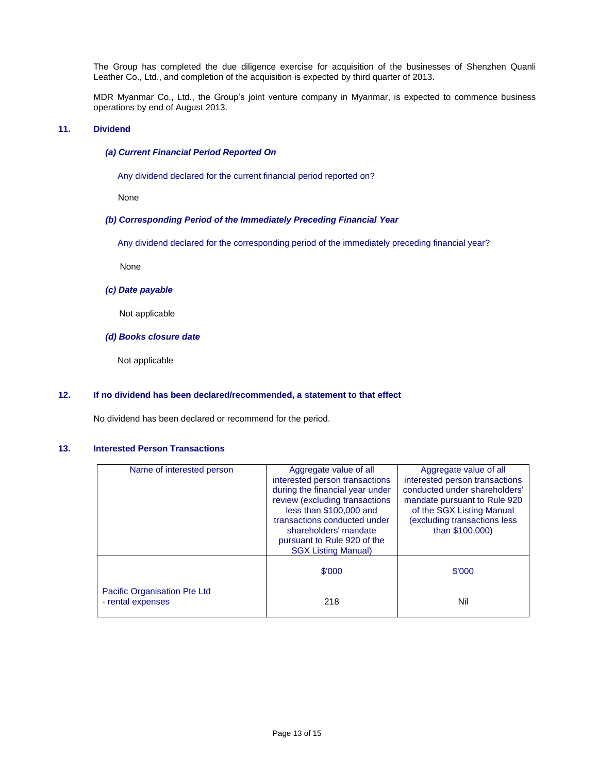The Group has completed the due diligence exercise for acquisition of the businesses of Shenzhen Quanli Leather Co., Ltd., and completion of the acquisition is expected by third quarter of 2013.

MDR Myanmar Co., Ltd., the Group's joint venture company in Myanmar, is expected to commence business operations by end of August 2013.

## **11. Dividend**

#### *(a) Current Financial Period Reported On*

Any dividend declared for the current financial period reported on?

None

#### *(b) Corresponding Period of the Immediately Preceding Financial Year*

Any dividend declared for the corresponding period of the immediately preceding financial year?

None

#### *(c) Date payable*

Not applicable

#### *(d) Books closure date*

Not applicable

#### **12. If no dividend has been declared/recommended, a statement to that effect**

No dividend has been declared or recommend for the period.

#### **13. Interested Person Transactions**

| Name of interested person                         | Aggregate value of all<br>interested person transactions<br>during the financial year under<br>review (excluding transactions<br>less than \$100,000 and<br>transactions conducted under<br>shareholders' mandate<br>pursuant to Rule 920 of the<br><b>SGX Listing Manual)</b> | Aggregate value of all<br>interested person transactions<br>conducted under shareholders'<br>mandate pursuant to Rule 920<br>of the SGX Listing Manual<br>(excluding transactions less<br>than \$100,000) |
|---------------------------------------------------|--------------------------------------------------------------------------------------------------------------------------------------------------------------------------------------------------------------------------------------------------------------------------------|-----------------------------------------------------------------------------------------------------------------------------------------------------------------------------------------------------------|
|                                                   | \$'000                                                                                                                                                                                                                                                                         | \$'000                                                                                                                                                                                                    |
| Pacific Organisation Pte Ltd<br>- rental expenses | 218                                                                                                                                                                                                                                                                            | Nil                                                                                                                                                                                                       |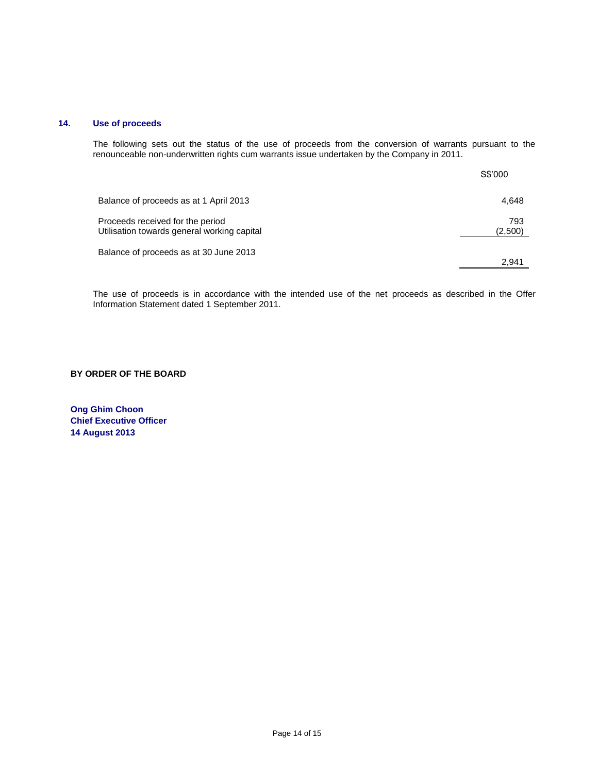# **14. Use of proceeds**

The following sets out the status of the use of proceeds from the conversion of warrants pursuant to the renounceable non-underwritten rights cum warrants issue undertaken by the Company in 2011.

|                                                                                 | S\$'000        |
|---------------------------------------------------------------------------------|----------------|
| Balance of proceeds as at 1 April 2013                                          | 4,648          |
| Proceeds received for the period<br>Utilisation towards general working capital | 793<br>(2,500) |
| Balance of proceeds as at 30 June 2013                                          | 2.941          |

The use of proceeds is in accordance with the intended use of the net proceeds as described in the Offer Information Statement dated 1 September 2011.

#### **BY ORDER OF THE BOARD**

**Ong Ghim Choon Chief Executive Officer 14 August 2013**